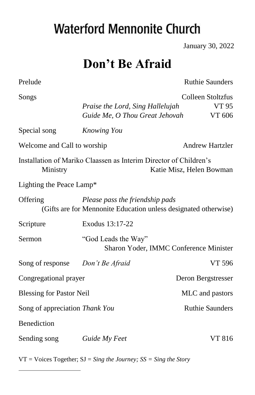# **Waterford Mennonite Church**

January 30, 2022

# **Don't Be Afraid**

| Prelude                         |                                                                                                    | <b>Ruthie Saunders</b>               |  |  |
|---------------------------------|----------------------------------------------------------------------------------------------------|--------------------------------------|--|--|
| Songs                           | Praise the Lord, Sing Hallelujah<br>Guide Me, O Thou Great Jehovah                                 | Colleen Stoltzfus<br>VT 95<br>VT 606 |  |  |
| Special song                    | <b>Knowing You</b>                                                                                 |                                      |  |  |
| Welcome and Call to worship     |                                                                                                    | <b>Andrew Hartzler</b>               |  |  |
| Ministry                        | Installation of Mariko Claassen as Interim Director of Children's                                  | Katie Misz, Helen Bowman             |  |  |
| Lighting the Peace Lamp*        |                                                                                                    |                                      |  |  |
| Offering                        | Please pass the friendship pads<br>(Gifts are for Mennonite Education unless designated otherwise) |                                      |  |  |
| Scripture                       | Exodus 13:17-22                                                                                    |                                      |  |  |
| Sermon                          | "God Leads the Way"<br>Sharon Yoder, IMMC Conference Minister                                      |                                      |  |  |
| Song of response                | Don't Be Afraid                                                                                    | VT 596                               |  |  |
| Congregational prayer           |                                                                                                    | Deron Bergstresser                   |  |  |
| <b>Blessing for Pastor Neil</b> |                                                                                                    | MLC and pastors                      |  |  |
| Song of appreciation Thank You  |                                                                                                    | <b>Ruthie Saunders</b>               |  |  |
| Benediction                     |                                                                                                    |                                      |  |  |
| Sending song                    | Guide My Feet                                                                                      | VT 816                               |  |  |

VT = Voices Together; SJ = *Sing the Journey; SS = Sing the Story*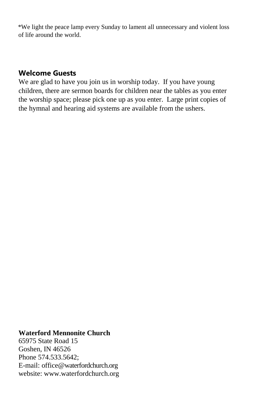\*We light the peace lamp every Sunday to lament all unnecessary and violent loss of life around the world.

#### **Welcome Guests**

We are glad to have you join us in worship today. If you have young children, there are sermon boards for children near the tables as you enter the worship space; please pick one up as you enter. Large print copies of the hymnal and hearing aid systems are available from the ushers.

#### **Waterford Mennonite Church**

65975 State Road 15 Goshen, IN 46526 Phone 574.533.5642; E-mail: office@waterfordchurch.org website: [www.waterfordchurch.org](http://www.waterfordchurch.org/)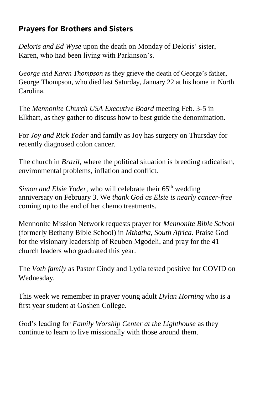# **Prayers for Brothers and Sisters**

*Deloris and Ed Wyse* upon the death on Monday of Deloris' sister, Karen, who had been living with Parkinson's.

*George and Karen Thompson* as they grieve the death of George's father, George Thompson, who died last Saturday, January 22 at his home in North Carolina.

The *Mennonite Church USA Executive Board* meeting Feb. 3-5 in Elkhart, as they gather to discuss how to best guide the denomination.

For *Joy and Rick Yoder* and family as Joy has surgery on Thursday for recently diagnosed colon cancer.

The church in *Brazil,* where the political situation is breeding radicalism, environmental problems, inflation and conflict.

*Simon and Elsie Yoder,* who will celebrate their 65<sup>th</sup> wedding anniversary on February 3. We *thank God as Elsie is nearly cancer-free* coming up to the end of her chemo treatments.

Mennonite Mission Network requests prayer for *Mennonite Bible School* (formerly Bethany Bible School) in *Mthatha, South Africa*. Praise God for the visionary leadership of Reuben Mgodeli, and pray for the 41 church leaders who graduated this year.

The *Voth family* as Pastor Cindy and Lydia tested positive for COVID on Wednesday.

This week we remember in prayer young adult *Dylan Horning* who is a first year student at Goshen College.

God's leading for *Family Worship Center at the Lighthouse* as they continue to learn to live missionally with those around them.